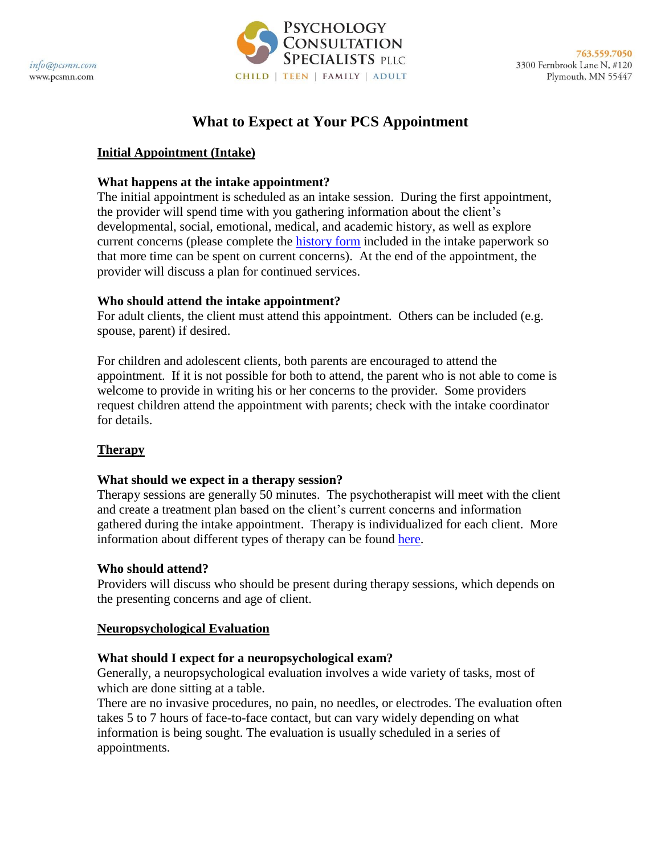info@pcsmn.com www.pcsmn.com



# **What to Expect at Your PCS Appointment**

## **Initial Appointment (Intake)**

#### **What happens at the intake appointment?**

The initial appointment is scheduled as an intake session. During the first appointment, the provider will spend time with you gathering information about the client's developmental, social, emotional, medical, and academic history, as well as explore current concerns (please complete the [history form](http://pcsmn.com/forms/) included in the intake paperwork so that more time can be spent on current concerns). At the end of the appointment, the provider will discuss a plan for continued services.

#### **Who should attend the intake appointment?**

For adult clients, the client must attend this appointment. Others can be included (e.g. spouse, parent) if desired.

For children and adolescent clients, both parents are encouraged to attend the appointment. If it is not possible for both to attend, the parent who is not able to come is welcome to provide in writing his or her concerns to the provider. Some providers request children attend the appointment with parents; check with the intake coordinator for details.

#### **Therapy**

#### **What should we expect in a therapy session?**

Therapy sessions are generally 50 minutes. The psychotherapist will meet with the client and create a treatment plan based on the client's current concerns and information gathered during the intake appointment. Therapy is individualized for each client. More information about different types of therapy can be found [here.](http://pcsmn.com/services/child-services/individual-psychotherapy/)

#### **Who should attend?**

Providers will discuss who should be present during therapy sessions, which depends on the presenting concerns and age of client.

#### **Neuropsychological Evaluation**

#### **What should I expect for a neuropsychological exam?**

Generally, a neuropsychological evaluation involves a wide variety of tasks, most of which are done sitting at a table.

There are no invasive procedures, no pain, no needles, or electrodes. The evaluation often takes 5 to 7 hours of face-to-face contact, but can vary widely depending on what information is being sought. The evaluation is usually scheduled in a series of appointments.